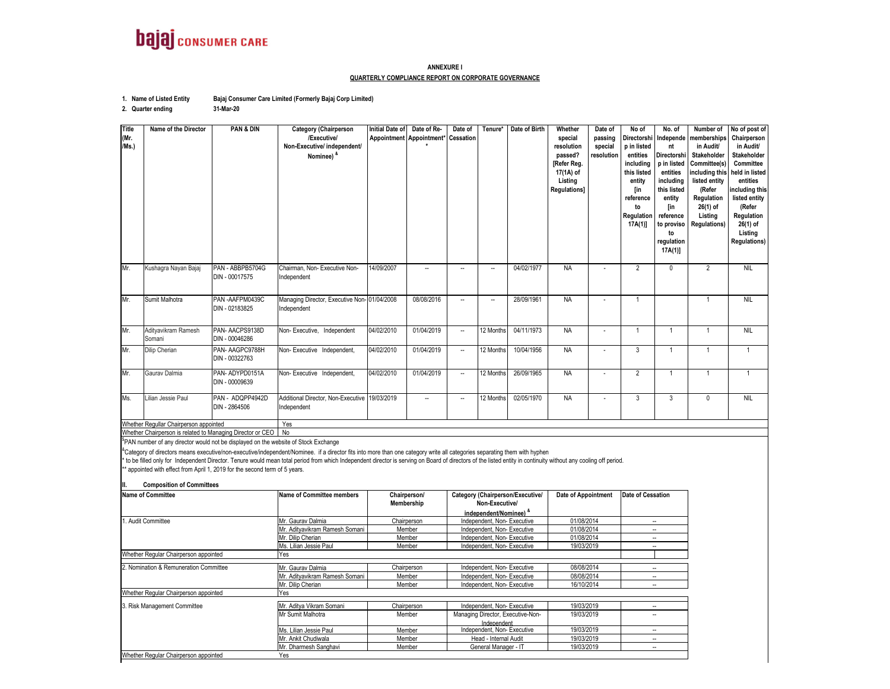

#### **ANNEXURE IQUARTERLY COMPLIANCE REPORT ON CORPORATE GOVERNANCE**

**1. Name of Listed Entity Bajaj Consumer Care Limited (Formerly Bajaj Corp Limited)**

**31-Mar-20**

**2. Quarter ending**

**Title (Mr. /Ms.) Name of the Director PAN & DIN Category (Chairperson /Executive/ Non-Executive/ independent/ Nominee) & Initial Date of Appointment Date of Re-Appointment\* Date of CessationTenure\* Date of Birth Whether special resolution passed? [Refer Reg. 17(1A) of Listing Regulations] Date of passing special resolution No of Directorshi p in listed entities including this listed entity [in reference to Regulation 17A(1)] No. of Independe nt Directorshi p in listed entities including this listed entity [in reference to proviso to regulation 17A(1)] Number of memberships in Audit/ Stakeholder Committee(s) including this listed entity (Refer Regulation 26(1) of Listing Regulations) No of post of Chairperson in Audit/ Stakeholder Committee held in listed entities including this listed entity (Refer Regulation 26(1) of Listing Regulations)** Mr. Kushagra Nayan Bajaj PAN - ABBPB5704G DIN - 00017575Chairman, Non- Executive Non-Chairman, Non- Executive Non- | 14/09/2007 | -- | -- | -- | 04/02/1977 | NA | - | 2 | 0 | 2 | NIL<br>Independent Mr. Sumit Malhotra PAN -AAFPM0439C DIN - 02183825Managing Director, Executive Non- 01/04/2008<br>Independent Managing Director, Executive Non- 01/04/2008 08/08/2016 -- - - - - 28/09/1961 NA - - - - - 1 1 1 1 1 NIL<br>Independent Mr. Adityavikram Ramesh SomaniPAN- AACPS9138D DIN - 00046286Non- Executive, Independent 04/02/2010 01/04/2019 -- 12 Months 04/11/1973 NA - 1 1 1 1 1 NIL Mr.Dilip Cherian PAN- AAGPC9788H DIN - 00322763Non- Executive Independent, 04/02/2010 01/04/2019 - 12 Months 10/04/1956 NA - 3 1 1 1 1 Mr. Gaurav Dalmia PAN- ADYPD0151A DIN - 00009639Non- Executive Independent, 04/02/2010 01/04/2019 -- 12 Months 26/09/1965 NA - 2 1 1 1 1 Ms.Lilian Jessie Paul PAN - ADQPP4942D DIN - 2864506Additional Director, Non-Executive 19/03/2019 Independent 19/03/2019 I -- I -- I12.Months I02/05/1970 I NA I - I 3 I 3 I 0 I NIL **NIL** Whether Regullar Chairperson appointed Yes

Whether Chairperson is related to Managing Director or CEO | No

<sup>\$</sup>PAN number of any director would not be displayed on the website of Stock Exchange

<sup>&</sup>Category of directors means executive/non-executive/independent/Nominee. if a director fits into more than one category write all categories separating them with hyphen

\* to be filled only for Independent Director. Tenure would mean total period from which Independent director is serving on Board of directors of the listed entity in continuity without any cooling off period.

\*\* appointed with effect from April 1, 2019 for the second term of 5 years.

**II. Composition of Committees**

| <b>Name of Committee</b>               | <b>Name of Committee members</b> | Chairperson/ | Category (Chairperson/Executive/<br>Non-Executive/ | <b>Date of Appointment</b> | Date of Cessation |
|----------------------------------------|----------------------------------|--------------|----------------------------------------------------|----------------------------|-------------------|
|                                        |                                  | Membership   |                                                    |                            |                   |
|                                        |                                  |              | independent/Nominee) *                             |                            |                   |
| 1. Audit Committee                     | Mr. Gauray Dalmia                | Chairperson  | Independent, Non-Executive                         | 01/08/2014                 | --                |
|                                        | Mr. Adityavikram Ramesh Somani   | Member       | Independent, Non-Executive                         | 01/08/2014                 |                   |
|                                        | Mr. Dilip Cherian                | Member       | Independent, Non-Executive                         | 01/08/2014                 |                   |
|                                        | Ms. Lilian Jessie Paul           | Member       | Independent, Non-Executive                         | 19/03/2019                 | --                |
| Whether Regular Chairperson appointed  | Yes                              |              |                                                    |                            |                   |
| 2. Nomination & Remuneration Committee | Mr. Gaurav Dalmia                | Chairperson  | Independent, Non-Executive                         | 08/08/2014                 | --                |
|                                        | Mr. Aditvavikram Ramesh Somani   | Member       | Independent, Non-Executive                         | 08/08/2014                 | -                 |
|                                        | Mr. Dilip Cherian                | Member       | Independent, Non-Executive                         | 16/10/2014                 | -                 |
| Whether Regular Chairperson appointed  | Yes                              |              |                                                    |                            |                   |
| 3. Risk Management Committee           | Mr. Aditva Vikram Somani         | Chairperson  | Independent, Non-Executive                         | 19/03/2019                 |                   |
|                                        | Mr Sumit Malhotra                | Member       | Managing Director, Executive-Non-                  | 19/03/2019                 |                   |
|                                        |                                  |              | Independent                                        |                            |                   |
|                                        | Ms. Lilian Jessie Paul           | Member       | Independent, Non-Executive                         | 19/03/2019                 |                   |
|                                        | Mr. Ankit Chudiwala              | Member       | Head - Internal Audit                              | 19/03/2019                 | --                |
|                                        | Mr. Dharmesh Sanghavi            | Member       | General Manager - IT                               | 19/03/2019                 | --                |
| Whether Regular Chairperson appointed  | Yes                              |              |                                                    |                            |                   |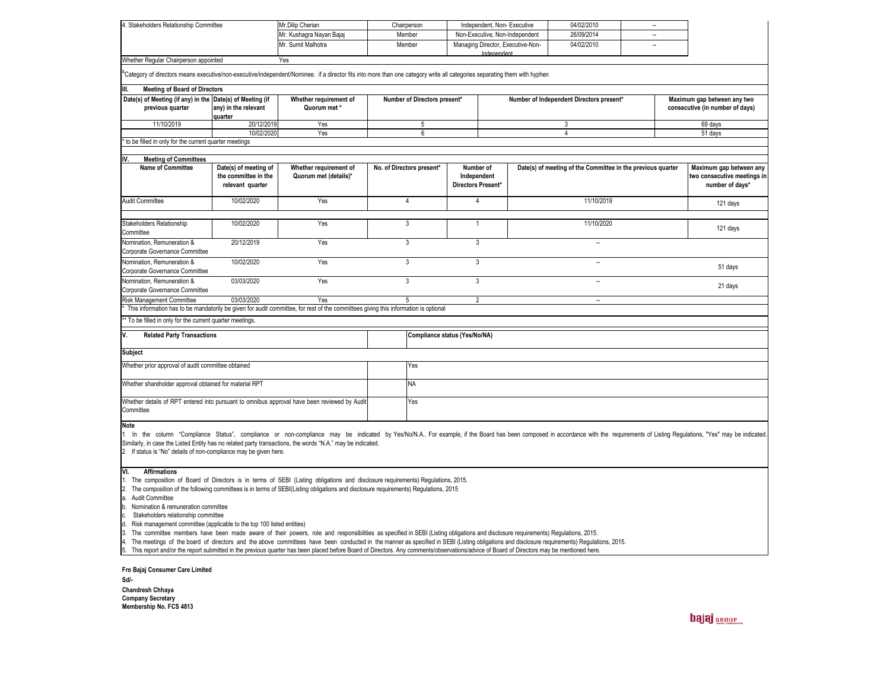| 4. Stakeholders Relationship Committee                                                                                                                                                                                                                                                                                                                                                                                                                                                                                                                                                                                                                                                                                                                                                                                                                                                                                                                                                                                                                                                         |                                                                   | Mr.Dilip Cherian                                                                                                                    | Chairperson<br>Member |                                                                          | Independent, Non-Executive                                                                                    |  | 04/02/2010<br>26/09/2014    |                                | $\sim$                                                                    |          |          |  |
|------------------------------------------------------------------------------------------------------------------------------------------------------------------------------------------------------------------------------------------------------------------------------------------------------------------------------------------------------------------------------------------------------------------------------------------------------------------------------------------------------------------------------------------------------------------------------------------------------------------------------------------------------------------------------------------------------------------------------------------------------------------------------------------------------------------------------------------------------------------------------------------------------------------------------------------------------------------------------------------------------------------------------------------------------------------------------------------------|-------------------------------------------------------------------|-------------------------------------------------------------------------------------------------------------------------------------|-----------------------|--------------------------------------------------------------------------|---------------------------------------------------------------------------------------------------------------|--|-----------------------------|--------------------------------|---------------------------------------------------------------------------|----------|----------|--|
|                                                                                                                                                                                                                                                                                                                                                                                                                                                                                                                                                                                                                                                                                                                                                                                                                                                                                                                                                                                                                                                                                                |                                                                   | Mr. Kushagra Nayan Bajaj<br>Mr. Sumit Malhotra                                                                                      |                       |                                                                          | Non-Executive, Non-Independent                                                                                |  | 04/02/2010                  | $\overline{\phantom{a}}$<br>÷. |                                                                           |          |          |  |
|                                                                                                                                                                                                                                                                                                                                                                                                                                                                                                                                                                                                                                                                                                                                                                                                                                                                                                                                                                                                                                                                                                |                                                                   |                                                                                                                                     |                       | Member                                                                   | Managing Director, Executive-Non-<br>Independent                                                              |  |                             |                                |                                                                           |          |          |  |
| Whether Regular Chairperson appointed<br>Yes                                                                                                                                                                                                                                                                                                                                                                                                                                                                                                                                                                                                                                                                                                                                                                                                                                                                                                                                                                                                                                                   |                                                                   |                                                                                                                                     |                       |                                                                          |                                                                                                               |  |                             |                                |                                                                           |          |          |  |
| Category of directors means executive/non-executive/independent/Nominee. if a director fits into more than one category write all categories separating them with hyphen                                                                                                                                                                                                                                                                                                                                                                                                                                                                                                                                                                                                                                                                                                                                                                                                                                                                                                                       |                                                                   |                                                                                                                                     |                       |                                                                          |                                                                                                               |  |                             |                                |                                                                           |          |          |  |
| <b>Meeting of Board of Directors</b>                                                                                                                                                                                                                                                                                                                                                                                                                                                                                                                                                                                                                                                                                                                                                                                                                                                                                                                                                                                                                                                           |                                                                   |                                                                                                                                     |                       |                                                                          |                                                                                                               |  |                             |                                |                                                                           |          |          |  |
| Date(s) of Meeting (if any) in the Date(s) of Meeting (if                                                                                                                                                                                                                                                                                                                                                                                                                                                                                                                                                                                                                                                                                                                                                                                                                                                                                                                                                                                                                                      |                                                                   | Whether requirement of                                                                                                              |                       | Number of Directors present*<br>Number of Independent Directors present* |                                                                                                               |  | Maximum gap between any two |                                |                                                                           |          |          |  |
| previous quarter                                                                                                                                                                                                                                                                                                                                                                                                                                                                                                                                                                                                                                                                                                                                                                                                                                                                                                                                                                                                                                                                               | any) in the relevant<br>quarter                                   | Quorum met*                                                                                                                         |                       | consecutive (in number of days)                                          |                                                                                                               |  |                             |                                |                                                                           |          |          |  |
| 11/10/2019                                                                                                                                                                                                                                                                                                                                                                                                                                                                                                                                                                                                                                                                                                                                                                                                                                                                                                                                                                                                                                                                                     | 20/12/2019                                                        | Yes                                                                                                                                 |                       | 5                                                                        |                                                                                                               |  |                             | 3                              |                                                                           |          | 69 days  |  |
|                                                                                                                                                                                                                                                                                                                                                                                                                                                                                                                                                                                                                                                                                                                                                                                                                                                                                                                                                                                                                                                                                                | 10/02/2020                                                        | Yes                                                                                                                                 |                       | 6                                                                        |                                                                                                               |  |                             | 4                              |                                                                           |          | 51 days  |  |
| to be filled in only for the current quarter meetings                                                                                                                                                                                                                                                                                                                                                                                                                                                                                                                                                                                                                                                                                                                                                                                                                                                                                                                                                                                                                                          |                                                                   |                                                                                                                                     |                       |                                                                          |                                                                                                               |  |                             |                                |                                                                           |          |          |  |
| <b>Meeting of Committees</b><br>IV.                                                                                                                                                                                                                                                                                                                                                                                                                                                                                                                                                                                                                                                                                                                                                                                                                                                                                                                                                                                                                                                            |                                                                   |                                                                                                                                     |                       |                                                                          |                                                                                                               |  |                             |                                |                                                                           |          |          |  |
| Name of Committee                                                                                                                                                                                                                                                                                                                                                                                                                                                                                                                                                                                                                                                                                                                                                                                                                                                                                                                                                                                                                                                                              | Date(s) of meeting of<br>the committee in the<br>relevant quarter | Whether requirement of<br>Quorum met (details)*                                                                                     |                       | No. of Directors present*                                                | Number of<br>Date(s) of meeting of the Committee in the previous quarter<br>Independent<br>Directors Present* |  |                             |                                | Maximum gap between any<br>two consecutive meetings in<br>number of days* |          |          |  |
| Audit Committee                                                                                                                                                                                                                                                                                                                                                                                                                                                                                                                                                                                                                                                                                                                                                                                                                                                                                                                                                                                                                                                                                | 10/02/2020                                                        | Yes                                                                                                                                 |                       | $\overline{4}$                                                           | $\overline{4}$                                                                                                |  |                             | 11/10/2019                     |                                                                           |          | 121 days |  |
| <b>Stakeholders Relationship</b><br>Committee                                                                                                                                                                                                                                                                                                                                                                                                                                                                                                                                                                                                                                                                                                                                                                                                                                                                                                                                                                                                                                                  | 10/02/2020                                                        | Yes                                                                                                                                 |                       | $\overline{3}$                                                           | 1                                                                                                             |  | 11/10/2020                  |                                |                                                                           | 121 days |          |  |
| Nomination, Remuneration &<br>Corporate Governance Committee                                                                                                                                                                                                                                                                                                                                                                                                                                                                                                                                                                                                                                                                                                                                                                                                                                                                                                                                                                                                                                   | 20/12/2019                                                        | Yes                                                                                                                                 |                       | 3                                                                        | 3                                                                                                             |  |                             | $\sim$                         |                                                                           |          |          |  |
| Nomination, Remuneration &<br>Corporate Governance Committee                                                                                                                                                                                                                                                                                                                                                                                                                                                                                                                                                                                                                                                                                                                                                                                                                                                                                                                                                                                                                                   | 10/02/2020                                                        | Yes                                                                                                                                 |                       | 3                                                                        | 3                                                                                                             |  |                             | $\sim$                         |                                                                           |          | 51 days  |  |
| Nomination, Remuneration &<br>Corporate Governance Committee                                                                                                                                                                                                                                                                                                                                                                                                                                                                                                                                                                                                                                                                                                                                                                                                                                                                                                                                                                                                                                   | 03/03/2020                                                        | Yes                                                                                                                                 |                       | $\overline{3}$                                                           | 3                                                                                                             |  |                             | $\ddot{\phantom{a}}$           |                                                                           |          | 21 days  |  |
| Risk Management Committee                                                                                                                                                                                                                                                                                                                                                                                                                                                                                                                                                                                                                                                                                                                                                                                                                                                                                                                                                                                                                                                                      | 03/03/2020                                                        | Yes                                                                                                                                 |                       | 5                                                                        | $\overline{2}$                                                                                                |  |                             | $\sim$                         |                                                                           |          |          |  |
|                                                                                                                                                                                                                                                                                                                                                                                                                                                                                                                                                                                                                                                                                                                                                                                                                                                                                                                                                                                                                                                                                                |                                                                   | This information has to be mandatorily be given for audit committee, for rest of the committees giving this information is optional |                       |                                                                          |                                                                                                               |  |                             |                                |                                                                           |          |          |  |
| * To be filled in only for the current quarter meetings.                                                                                                                                                                                                                                                                                                                                                                                                                                                                                                                                                                                                                                                                                                                                                                                                                                                                                                                                                                                                                                       |                                                                   |                                                                                                                                     |                       |                                                                          |                                                                                                               |  |                             |                                |                                                                           |          |          |  |
| Compliance status (Yes/No/NA)<br><b>Related Party Transactions</b><br>V.                                                                                                                                                                                                                                                                                                                                                                                                                                                                                                                                                                                                                                                                                                                                                                                                                                                                                                                                                                                                                       |                                                                   |                                                                                                                                     |                       |                                                                          |                                                                                                               |  |                             |                                |                                                                           |          |          |  |
| Subject                                                                                                                                                                                                                                                                                                                                                                                                                                                                                                                                                                                                                                                                                                                                                                                                                                                                                                                                                                                                                                                                                        |                                                                   |                                                                                                                                     |                       |                                                                          |                                                                                                               |  |                             |                                |                                                                           |          |          |  |
| Whether prior approval of audit committee obtained                                                                                                                                                                                                                                                                                                                                                                                                                                                                                                                                                                                                                                                                                                                                                                                                                                                                                                                                                                                                                                             |                                                                   |                                                                                                                                     |                       | Yes                                                                      |                                                                                                               |  |                             |                                |                                                                           |          |          |  |
| Whether shareholder approval obtained for material RPT                                                                                                                                                                                                                                                                                                                                                                                                                                                                                                                                                                                                                                                                                                                                                                                                                                                                                                                                                                                                                                         |                                                                   |                                                                                                                                     |                       | <b>NA</b>                                                                |                                                                                                               |  |                             |                                |                                                                           |          |          |  |
| Whether details of RPT entered into pursuant to omnibus approval have been reviewed by Audit<br>Committee                                                                                                                                                                                                                                                                                                                                                                                                                                                                                                                                                                                                                                                                                                                                                                                                                                                                                                                                                                                      |                                                                   |                                                                                                                                     |                       | Yes                                                                      |                                                                                                               |  |                             |                                |                                                                           |          |          |  |
| <b>Note</b><br>1 In the column "Compliance Status", compliance or non-compliance may be indicated by Yes/No/N.A For example, if the Board has been composed in accordance with the requirements of Listing Regulations, "Yes" may be indica<br>Similarly, in case the Listed Entity has no related party transactions, the words "N.A." may be indicated.<br>2 If status is "No" details of non-compliance may be given here.                                                                                                                                                                                                                                                                                                                                                                                                                                                                                                                                                                                                                                                                  |                                                                   |                                                                                                                                     |                       |                                                                          |                                                                                                               |  |                             |                                |                                                                           |          |          |  |
| VI.<br><b>Affirmations</b><br>1. The composition of Board of Directors is in terms of SEBI (Listing obligations and disclosure requirements) Regulations, 2015.<br>2. The composition of the following committees is in terms of SEBI(Listing obligations and disclosure requirements) Regulations, 2015<br>a. Audit Committee<br>b. Nomination & remuneration committee<br>Stakeholders relationship committee<br>c.<br>d. Risk management committee (applicable to the top 100 listed entities)<br>The committee members have been made aware of their powers, role and responsibilities as specified in SEBI (Listing obligations and disclosure requirements) Regulations, 2015.<br>3.<br>4. The meetings of the board of directors and the above committees have been conducted in the manner as specified in SEBI (Listing obligations and disclosure requirements) Regulations, 2015.<br>This report and/or the report submitted in the previous quarter has been placed before Board of Directors. Any comments/observations/advice of Board of Directors may be mentioned here.<br>5. |                                                                   |                                                                                                                                     |                       |                                                                          |                                                                                                               |  |                             |                                |                                                                           |          |          |  |

**Fro Bajaj Consumer Care Limited**

**Sd/-**Chandresh Chhaya<br>Company Secretary<br>Membership No. FCS 4813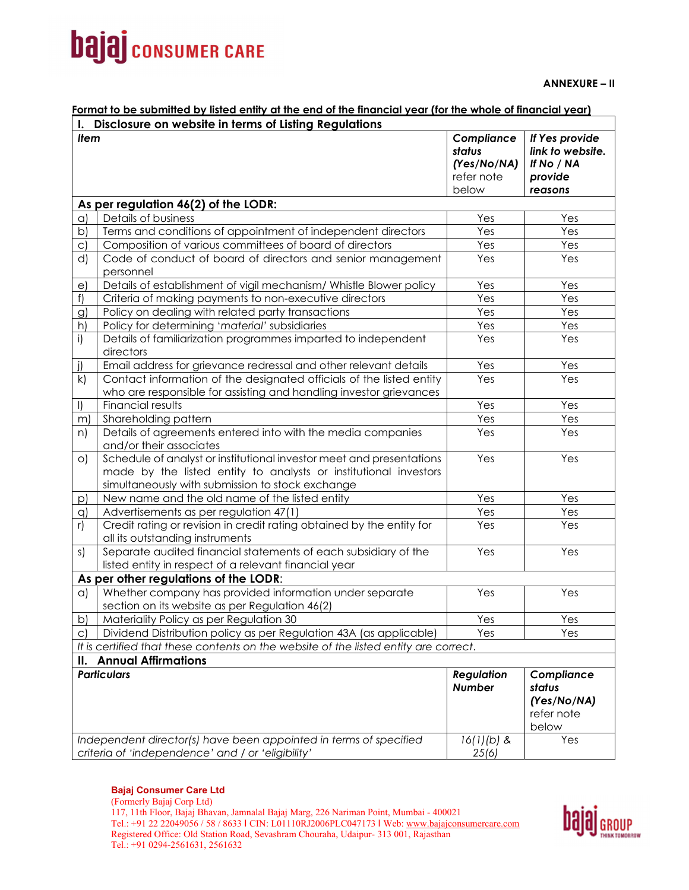# **bajaj** consumer CARE

**ANNEXURE – II** 

### **Format to be submitted by listed entity at the end of the financial year (for the whole of financial year)**

|                                | I. Disclosure on website in terms of Listing Regulations                                                                                                                                     |                                                   |                                                             |  |  |  |
|--------------------------------|----------------------------------------------------------------------------------------------------------------------------------------------------------------------------------------------|---------------------------------------------------|-------------------------------------------------------------|--|--|--|
| <b>Item</b>                    |                                                                                                                                                                                              | Compliance<br>status<br>(Yes/No/NA)<br>refer note | If Yes provide<br>link to website.<br>If No / NA<br>provide |  |  |  |
|                                |                                                                                                                                                                                              | below                                             | reasons                                                     |  |  |  |
|                                | As per regulation 46(2) of the LODR:                                                                                                                                                         |                                                   |                                                             |  |  |  |
| a)                             | Details of business                                                                                                                                                                          | Yes                                               | Yes                                                         |  |  |  |
| b)                             | Terms and conditions of appointment of independent directors                                                                                                                                 | Yes                                               | Yes                                                         |  |  |  |
| $\circ$ )                      | Composition of various committees of board of directors                                                                                                                                      | Yes                                               | Yes                                                         |  |  |  |
| d)                             | Code of conduct of board of directors and senior management<br>personnel                                                                                                                     | Yes                                               | Yes                                                         |  |  |  |
| e)                             | Details of establishment of vigil mechanism/ Whistle Blower policy                                                                                                                           | Yes                                               | Yes                                                         |  |  |  |
| f)                             | Criteria of making payments to non-executive directors                                                                                                                                       | Yes                                               | Yes                                                         |  |  |  |
| $\mathcal{G}$                  | Policy on dealing with related party transactions                                                                                                                                            | Yes                                               | Yes                                                         |  |  |  |
| h)                             | Policy for determining 'material' subsidiaries                                                                                                                                               | Yes                                               | Yes                                                         |  |  |  |
| i)                             | Details of familiarization programmes imparted to independent<br>directors                                                                                                                   | Yes                                               | Yes                                                         |  |  |  |
| j)                             | Email address for grievance redressal and other relevant details                                                                                                                             | Yes                                               | Yes                                                         |  |  |  |
| k)                             | Contact information of the designated officials of the listed entity<br>who are responsible for assisting and handling investor grievances                                                   | Yes                                               | Yes                                                         |  |  |  |
| $\vert$                        | Financial results                                                                                                                                                                            | Yes                                               | Yes                                                         |  |  |  |
| m)                             | Shareholding pattern                                                                                                                                                                         | Yes                                               | Yes                                                         |  |  |  |
| n)                             | Details of agreements entered into with the media companies<br>and/or their associates                                                                                                       | Yes                                               | Yes                                                         |  |  |  |
| $\circ)$                       | Schedule of analyst or institutional investor meet and presentations<br>made by the listed entity to analysts or institutional investors<br>simultaneously with submission to stock exchange | Yes                                               | Yes                                                         |  |  |  |
| p)                             | New name and the old name of the listed entity                                                                                                                                               | Yes                                               | Yes                                                         |  |  |  |
| q)                             | Advertisements as per regulation 47(1)                                                                                                                                                       | Yes                                               | Yes                                                         |  |  |  |
| r)                             | Credit rating or revision in credit rating obtained by the entity for<br>all its outstanding instruments                                                                                     | Yes                                               | Yes                                                         |  |  |  |
| s)                             | Separate audited financial statements of each subsidiary of the<br>listed entity in respect of a relevant financial year                                                                     | Yes                                               | Yes                                                         |  |  |  |
|                                | As per other regulations of the LODR:                                                                                                                                                        |                                                   |                                                             |  |  |  |
| $\alpha$                       | Whether company has provided information under separate<br>section on its website as per Regulation 46(2)                                                                                    | Yes                                               | Yes                                                         |  |  |  |
| b)                             | Materiality Policy as per Regulation 30                                                                                                                                                      | Yes                                               | Yes                                                         |  |  |  |
| C)                             | Dividend Distribution policy as per Regulation 43A (as applicable)                                                                                                                           | Yes                                               | Yes                                                         |  |  |  |
|                                | It is certified that these contents on the website of the listed entity are correct.                                                                                                         |                                                   |                                                             |  |  |  |
| <b>II. Annual Affirmations</b> |                                                                                                                                                                                              |                                                   |                                                             |  |  |  |
|                                | <b>Particulars</b>                                                                                                                                                                           | <b>Regulation</b><br><b>Number</b>                | Compliance<br>status<br>(Yes/No/NA)<br>refer note<br>below  |  |  |  |
|                                | Independent director(s) have been appointed in terms of specified                                                                                                                            | $16(1)(b)$ &                                      | Yes                                                         |  |  |  |
|                                | criteria of 'independence' and / or 'eligibility'                                                                                                                                            | 25(6)                                             |                                                             |  |  |  |

#### **Bajaj Consumer Care Ltd**

(Formerly Bajaj Corp Ltd) 117, 11th Floor, Bajaj Bhavan, Jamnalal Bajaj Marg, 226 Nariman Point, Mumbai - 400021 Tel.: +91 22 22049056 / 58 / 8633 I CIN: L01110RJ2006PLC047173 I Web: www.bajajconsumercare.com Registered Office: Old Station Road, Sevashram Chouraha, Udaipur- 313 001, Rajasthan Tel.: +91 0294-2561631, 2561632

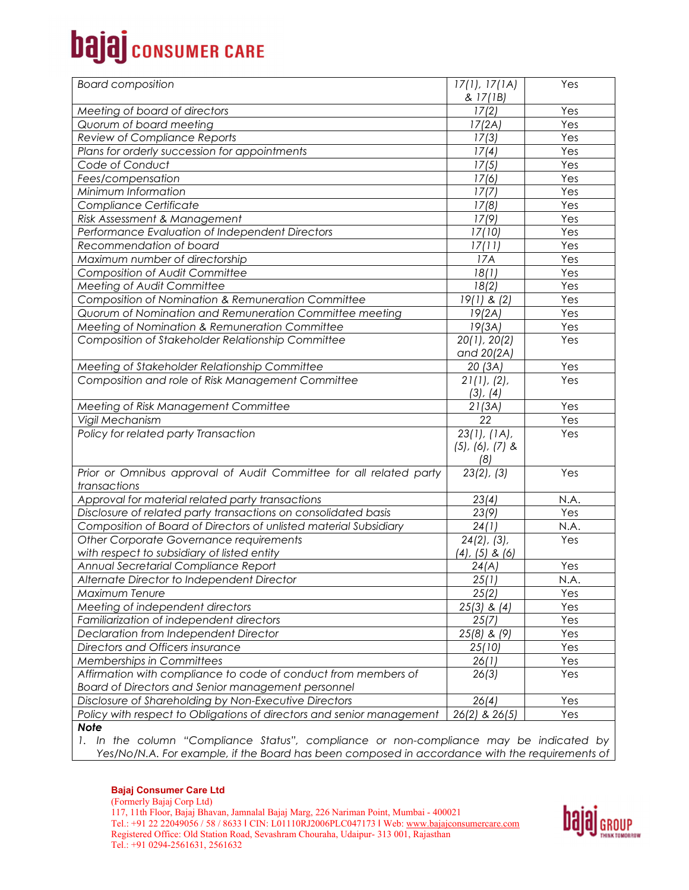# **bajaj** consumer CARE

| <b>Board composition</b>                                              | 17(1), 17(1A)           | Yes  |
|-----------------------------------------------------------------------|-------------------------|------|
|                                                                       | & 17(1B)                |      |
| Meeting of board of directors                                         | 17(2)                   | Yes  |
| Quorum of board meeting                                               | 17(2A)                  | Yes  |
| Review of Compliance Reports                                          | $\overline{17}(3)$      | Yes  |
| Plans for orderly succession for appointments                         | 17(4)                   | Yes  |
| Code of Conduct                                                       | 17(5)                   | Yes  |
| Fees/compensation                                                     | 17(6)                   | Yes  |
| Minimum Information                                                   | 17(7)                   | Yes  |
| Compliance Certificate                                                | 17(8)                   | Yes  |
| Risk Assessment & Management                                          | 17(9)                   | Yes  |
| Performance Evaluation of Independent Directors                       | 17(10)                  | Yes  |
| Recommendation of board                                               | 17(11)                  | Yes  |
| Maximum number of directorship                                        | 17A                     | Yes  |
| Composition of Audit Committee                                        | 18(1)                   | Yes  |
| <b>Meeting of Audit Committee</b>                                     | 18(2)                   | Yes  |
| Composition of Nomination & Remuneration Committee                    | $19(1)$ & $(2)$         | Yes  |
| Quorum of Nomination and Remuneration Committee meeting               | 19(2A)                  | Yes  |
| Meeting of Nomination & Remuneration Committee                        | 19(3A)                  | Yes  |
| Composition of Stakeholder Relationship Committee                     | 20(1), 20(2)            | Yes  |
|                                                                       | and 20(2A)              |      |
| Meeting of Stakeholder Relationship Committee                         | 20(3A)                  | Yes  |
| Composition and role of Risk Management Committee                     | 21(1), (2),             | Yes  |
|                                                                       | $(3)$ , $(4)$           |      |
| Meeting of Risk Management Committee                                  | 21(3A)                  | Yes  |
| Vigil Mechanism                                                       | 22                      | Yes  |
| Policy for related party Transaction                                  | 23(1), (1A),            | Yes  |
|                                                                       | $(5)$ , $(6)$ , $(7)$ & |      |
|                                                                       | (8)                     |      |
| Prior or Omnibus approval of Audit Committee for all related party    | 23(2), (3)              | Yes  |
| transactions                                                          |                         |      |
| Approval for material related party transactions                      | 23(4)                   | N.A. |
| Disclosure of related party transactions on consolidated basis        | 23(9)                   | Yes  |
| Composition of Board of Directors of unlisted material Subsidiary     | 24(1)                   | N.A. |
| Other Corporate Governance requirements                               | $24(2)$ , $(3)$ ,       | Yes  |
| with respect to subsidiary of listed entity                           | (4), (5) & (6)          |      |
| Annual Secretarial Compliance Report                                  | 24(A)                   | Yes  |
| Alternate Director to Independent Director                            | 25(1)                   | N.A. |
| Maximum Tenure                                                        | 25(2)                   | Yes  |
| Meeting of independent directors                                      | $25(3)$ & $(4)$         | Yes  |
| Familiarization of independent directors                              | 25(7)                   | Yes  |
| Declaration from Independent Director                                 | $25(8)$ & $(9)$         | Yes  |
| Directors and Officers insurance                                      | 25(10)                  | Yes  |
| Memberships in Committees                                             | 26(1)                   | Yes  |
| Affirmation with compliance to code of conduct from members of        | 26(3)                   | Yes  |
| Board of Directors and Senior management personnel                    |                         |      |
| Disclosure of Shareholding by Non-Executive Directors                 | 26(4)                   | Yes  |
| Policy with respect to Obligations of directors and senior management | 26(2) & 26(5)           | Yes  |
| <b>Note</b>                                                           |                         |      |

*1. In the column "Compliance Status", compliance or non-compliance may be indicated by Yes/No/N.A. For example, if the Board has been composed in accordance with the requirements of* 

(Formerly Bajaj Corp Ltd) 117, 11th Floor, Bajaj Bhavan, Jamnalal Bajaj Marg, 226 Nariman Point, Mumbai - 400021 Tel.: +91 22 22049056 / 58 / 8633 I CIN: L01110RJ2006PLC047173 I Web: www.bajajconsumercare.com Registered Office: Old Station Road, Sevashram Chouraha, Udaipur- 313 001, Rajasthan Tel.: +91 0294-2561631, 2561632

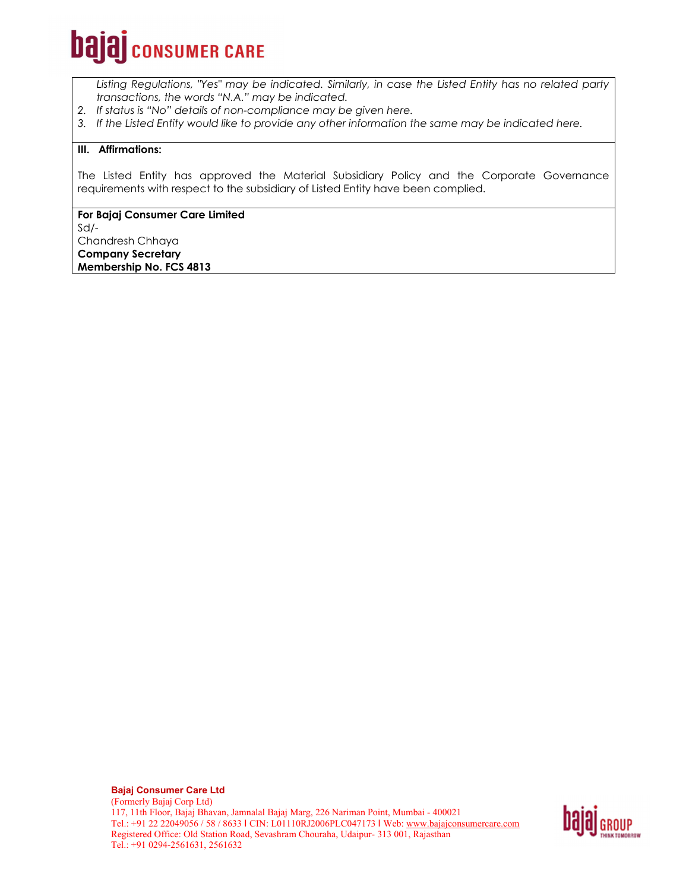# **bajaj** consumer CARE

*Listing Regulations, "Yes" may be indicated. Similarly, in case the Listed Entity has no related party transactions, the words "N.A." may be indicated.* 

- *2. If status is "No" details of non-compliance may be given here.*
- *3. If the Listed Entity would like to provide any other information the same may be indicated here.*

#### **III. Affirmations:**

The Listed Entity has approved the Material Subsidiary Policy and the Corporate Governance requirements with respect to the subsidiary of Listed Entity have been complied.

### **For Bajaj Consumer Care Limited**

Sd/-

Chandresh Chhaya

**Company Secretary Membership No. FCS 4813**